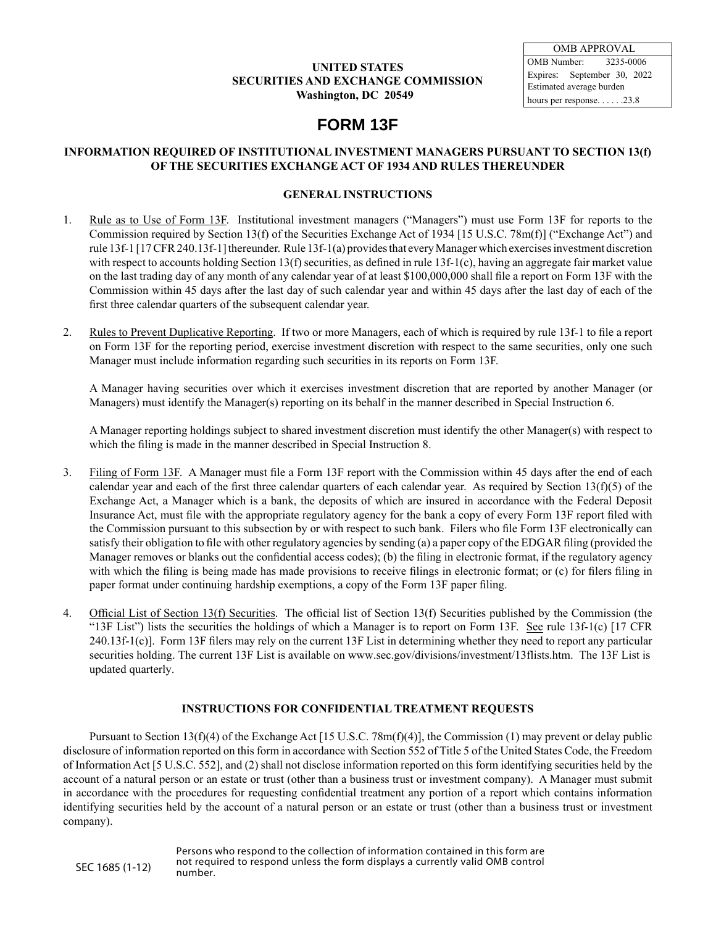# UNITED STATES<br>
ND EVCHANGE COMMISSION **Washington, DC 20549 SECURITIES AND EXCHANGE COMMISSION**

OMB APPROVAL OMB Number: 3235-0006 Expires: September 30, 2022 Estimated average burden hours per response. . . . . .23.8

# **FORM 13F**

# **INFORMATION REQUIRED OF INSTITUTIONAL INVESTMENT MANAGERS PURSUANT TO SECTION 13(f) OF THE SECURITIES EXCHANGE ACT OF 1934 AND RULES THEREUNDER**

#### **GENERAL INSTRUCTIONS**

- 1. Rule as to Use of Form 13F. Institutional investment managers ("Managers") must use Form 13F for reports to the Commission required by Section 13(f) of the Securities Exchange Act of 1934 [15 U.S.C. 78m(f)] ("Exchange Act") and rule 13f-1 [17 CFR 240.13f-1] thereunder. Rule 13f-1(a) provides that every Manager which exercises investment discretion with respect to accounts holding Section 13(f) securities, as defined in rule 13f-1(c), having an aggregate fair market value on the last trading day of any month of any calendar year of at least \$100,000,000 shall file a report on Form 13F with the Commission within 45 days after the last day of such calendar year and within 45 days after the last day of each of the first three calendar quarters of the subsequent calendar year.
- 2. Rules to Prevent Duplicative Reporting. If two or more Managers, each of which is required by rule 13f-1 to file a report on Form 13F for the reporting period, exercise investment discretion with respect to the same securities, only one such Manager must include information regarding such securities in its reports on Form 13F.

A Manager having securities over which it exercises investment discretion that are reported by another Manager (or Managers) must identify the Manager(s) reporting on its behalf in the manner described in Special Instruction 6.

A Manager reporting holdings subject to shared investment discretion must identify the other Manager(s) with respect to which the filing is made in the manner described in Special Instruction 8.

- 3. Filing of Form 13F. A Manager must file a Form 13F report with the Commission within 45 days after the end of each calendar year and each of the first three calendar quarters of each calendar year. As required by Section  $13(f)(5)$  of the Exchange Act, a Manager which is a bank, the deposits of which are insured in accordance with the Federal Deposit Insurance Act, must file with the appropriate regulatory agency for the bank a copy of every Form 13F report filed with the Commission pursuant to this subsection by or with respect to such bank. Filers who file Form 13F electronically can satisfy their obligation to file with other regulatory agencies by sending (a) a paper copy of the EDGAR filing (provided the Manager removes or blanks out the confidential access codes); (b) the filing in electronic format, if the regulatory agency with which the filing is being made has made provisions to receive filings in electronic format; or (c) for filers filing in paper format under continuing hardship exemptions, a copy of the Form 13F paper filing.
- "13F List") lists the securities the holdings of which a Manager is to report on Form 13F. See rule 13f-1(c) [17 CFR 240.13f-1(c)]. Form 13F filers may rely on the current 13F List in determining whether they need to report any particular 4. Official List of Section 13(f) Securities. The official list of Section 13(f) Securities published by the Commission (the securities holding. The current 13F List is available on [www.sec.gov/divisions/investment/13flists.htm.](www.sec.gov/divisions/investment/13flists.htm) The 13F List is updated quarterly.

#### **INSTRUCTIONS FOR CONFIDENTIAL TREATMENT REQUESTS**

 of Information Act [5 U.S.C. 552], and (2) shall not disclose information reported on this form identifying securities held by the Pursuant to Section 13(f)(4) of the Exchange Act [15 U.S.C. 78m(f)(4)], the Commission (1) may prevent or delay public disclosure of information reported on this form in accordance with Section 552 of Title 5 of the United States Code, the Freedom account of a natural person or an estate or trust (other than a business trust or investment company). A Manager must submit in accordance with the procedures for requesting confidential treatment any portion of a report which contains information identifying securities held by the account of a natural person or an estate or trust (other than a business trust or investment company).

SEC 1685 (1-12) not required to respond unless the form displays a currently valid OMB control number. Persons who respond to the collection of information contained in this form are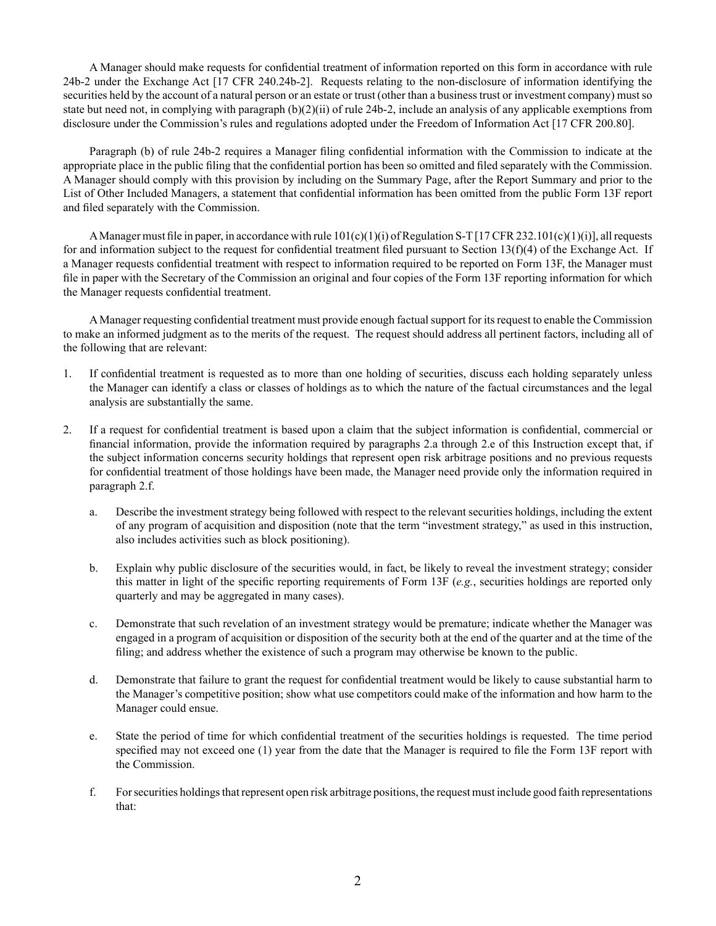A Manager should make requests for confidential treatment of information reported on this form in accordance with rule 24b-2 under the Exchange Act [17 CFR 240.24b-2]. Requests relating to the non-disclosure of information identifying the securities held by the account of a natural person or an estate or trust (other than a business trust or investment company) must so state but need not, in complying with paragraph (b)(2)(ii) of rule 24b-2, include an analysis of any applicable exemptions from disclosure under the Commission's rules and regulations adopted under the Freedom of Information Act [17 CFR 200.80].

Paragraph (b) of rule 24b-2 requires a Manager filing confidential information with the Commission to indicate at the appropriate place in the public filing that the confidential portion has been so omitted and filed separately with the Commission. A Manager should comply with this provision by including on the Summary Page, after the Report Summary and prior to the List of Other Included Managers, a statement that confidential information has been omitted from the public Form 13F report and filed separately with the Commission.

A Manager must file in paper, in accordance with rule  $101(c)(1)(i)$  of Regulation S-T [17 CFR 232.101(c)(1)(i)], all requests for and information subject to the request for confidential treatment filed pursuant to Section  $13(f)(4)$  of the Exchange Act. If a Manager requests confidential treatment with respect to information required to be reported on Form 13F, the Manager must file in paper with the Secretary of the Commission an original and four copies of the Form 13F reporting information for which the Manager requests confidential treatment.

A Manager requesting confidential treatment must provide enough factual support for its request to enable the Commission to make an informed judgment as to the merits of the request. The request should address all pertinent factors, including all of the following that are relevant:

- 1. If confidential treatment is requested as to more than one holding of securities, discuss each holding separately unless the Manager can identify a class or classes of holdings as to which the nature of the factual circumstances and the legal analysis are substantially the same.
- 2. 2. If a request for confidential treatment is based upon a claim that the subject information is confidential, commercial or financial information, provide the information required by paragraphs 2.a through 2.e of this Instruction except that, if the subject information concerns security holdings that represent open risk arbitrage positions and no previous requests for confidential treatment of those holdings have been made, the Manager need provide only the information required in paragraph 2.f.
	- a. Describe the investment strategy being followed with respect to the relevant securities holdings, including the extent of any program of acquisition and disposition (note that the term "investment strategy," as used in this instruction, also includes activities such as block positioning).
	- $b<sub>1</sub>$ Explain why public disclosure of the securities would, in fact, be likely to reveal the investment strategy; consider this matter in light of the specific reporting requirements of Form 13F  $(e.g.,$  securities holdings are reported only quarterly and may be aggregated in many cases).
	- $\mathbf{c}$ . Demonstrate that such revelation of an investment strategy would be premature; indicate whether the Manager was engaged in a program of acquisition or disposition of the security both at the end of the quarter and at the time of the filing; and address whether the existence of such a program may otherwise be known to the public.
	- $d_{\cdot}$ Demonstrate that failure to grant the request for confidential treatment would be likely to cause substantial harm to the Manager's competitive position; show what use competitors could make of the information and how harm to the Manager could ensue.
	- e. e. State the period of time for which confidential treatment of the securities holdings is requested. The time period specified may not exceed one (1) year from the date that the Manager is required to file the Form 13F report with the Commission.
	- f. f. For securities holdings that represent open risk arbitrage positions, the request must include good faith representations that: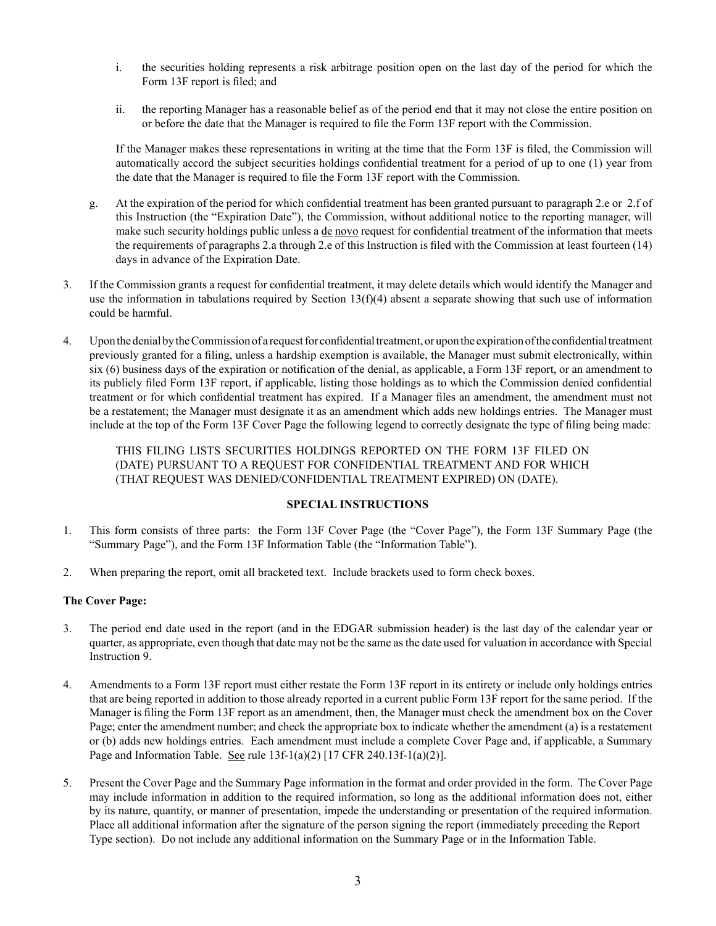- $i$ . i. the securities holding represents a risk arbitrage position open on the last day of the period for which the Form 13F report is filed; and
- $ii.$ the reporting Manager has a reasonable belief as of the period end that it may not close the entire position on or before the date that the Manager is required to file the Form 13F report with the Commission.

If the Manager makes these representations in writing at the time that the Form 13F is filed, the Commission will automatically accord the subject securities holdings confidential treatment for a period of up to one (1) year from the date that the Manager is required to file the Form 13F report with the Commission.

- g. At the expiration of the period for which confidential treatment has been granted pursuant to paragraph 2.e or 2.f of this Instruction (the "Expiration Date"), the Commission, without additional notice to the reporting manager, will make such security holdings public unless a de novo request for confidential treatment of the information that meets the requirements of paragraphs 2.a through 2.e of this Instruction is filed with the Commission at least fourteen (14) days in advance of the Expiration Date.
- $3<sub>1</sub>$ If the Commission grants a request for confidential treatment, it may delete details which would identify the Manager and use the information in tabulations required by Section  $13(f)(4)$  absent a separate showing that such use of information could be harmful.
- Upon the denial by the Commission of a request for confidential treatment, or upon the expiration of the confidential treatment previously granted for a filing, unless a hardship exemption is available, the Manager must submit electronically, within six (6) business days of the expiration or notification of the denial, as applicable, a Form 13F report, or an amendment to its publicly filed Form 13F report, if applicable, listing those holdings as to which the Commission denied confidential treatment or for which confidential treatment has expired. If a Manager files an amendment, the amendment must not be a restatement; the Manager must designate it as an amendment which adds new holdings entries. The Manager must include at the top of the Form 13F Cover Page the following legend to correctly designate the type of filing being made:

 (DATE) PURSUANT TO A REQUEST FOR CONFIDENTIAL TREATMENT AND FOR WHICH THIS FILING LISTS SECURITIES HOLDINGS REPORTED ON THE FORM 13F FILED ON (THAT REQUEST WAS DENIED/CONFIDENTIAL TREATMENT EXPIRED) ON (DATE).

#### **SPECIAL INSTRUCTIONS**

- 1. This form consists of three parts: the Form 13F Cover Page (the "Cover Page"), the Form 13F Summary Page (the 1. "Summary Page"), and the Form 13F Information Table (the "Information Table").
- $2.$ 2. When preparing the report, omit all bracketed text. Include brackets used to form check boxes.

#### **The Cover Page:**

- 3. 3. The period end date used in the report (and in the EDGAR submission header) is the last day of the calendar year or quarter, as appropriate, even though that date may not be the same as the date used for valuation in accordance with Special Instruction 9.
- $4.$ Amendments to a Form 13F report must either restate the Form 13F report in its entirety or include only holdings entries that are being reported in addition to those already reported in a current public Form 13F report for the same period. If the Manager is filing the Form 13F report as an amendment, then, the Manager must check the amendment box on the Cover Page; enter the amendment number; and check the appropriate box to indicate whether the amendment (a) is a restatement or (b) adds new holdings entries. Each amendment must include a complete Cover Page and, if applicable, a Summary Page and Information Table. See rule  $13f-1(a)(2)$  [17 CFR 240.13f-1(a)(2)].
- 5. 5. Present the Cover Page and the Summary Page information in the format and order provided in the form. The Cover Page may include information in addition to the required information, so long as the additional information does not, either by its nature, quantity, or manner of presentation, impede the understanding or presentation of the required information. Place all additional information after the signature of the person signing the report (immediately preceding the Report Type section). Do not include any additional information on the Summary Page or in the Information Table.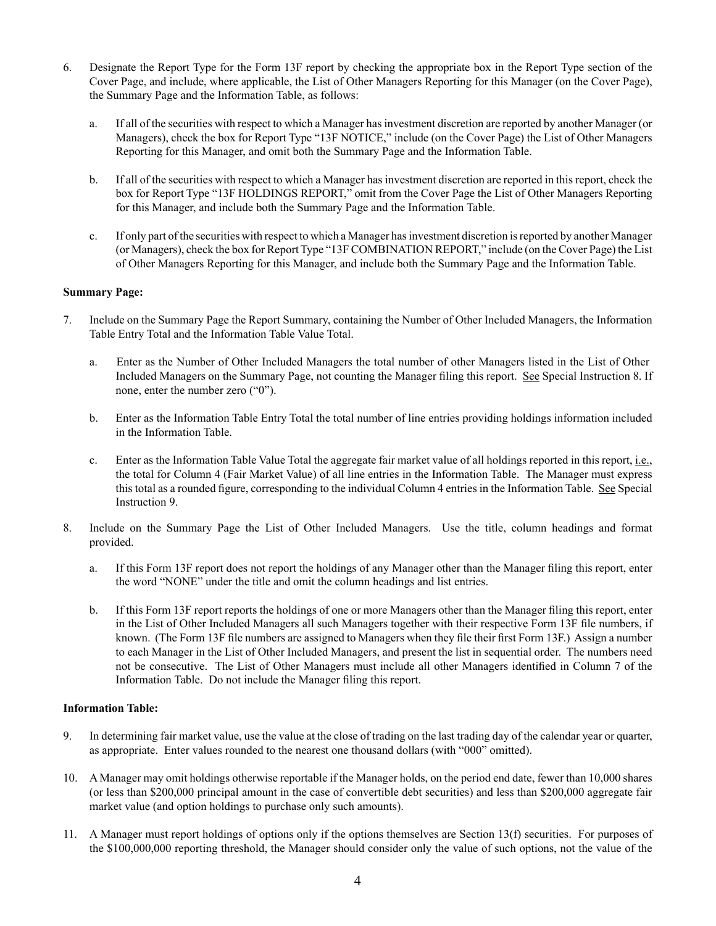- 6. 6. Designate the Report Type for the Form 13F report by checking the appropriate box in the Report Type section of the Cover Page, and include, where applicable, the List of Other Managers Reporting for this Manager (on the Cover Page), the Summary Page and the Information Table, as follows:
	- a. If all of the securities with respect to which a Manager has investment discretion are reported by another Manager (or Managers), check the box for Report Type "13F NOTICE," include (on the Cover Page) the List of Other Managers Reporting for this Manager, and omit both the Summary Page and the Information Table.
	- $\mathbf{b}$ . b. If all of the securities with respect to which a Manager has investment discretion are reported in this report, check the box for Report Type "13F HOLDINGS REPORT," omit from the Cover Page the List of Other Managers Reporting for this Manager, and include both the Summary Page and the Information Table.
	- $\mathbf{c}$ . c. If only part of the securities with respect to which a Manager has investment discretion is reported by another Manager (or Managers), check the box for Report Type "13F COMBINATION REPORT," include (on the Cover Page) the List of Other Managers Reporting for this Manager, and include both the Summary Page and the Information Table.

#### **Summary Page:**

- 7. 7. Include on the Summary Page the Report Summary, containing the Number of Other Included Managers, the Information Table Entry Total and the Information Table Value Total.
	- a. Enter as the Number of Other Included Managers the total number of other Managers listed in the List of Other Included Managers on the Summary Page, not counting the Manager filing this report. See Special Instruction 8. If none, enter the number zero ("0").
	- $b.$ b. Enter as the Information Table Entry Total the total number of line entries providing holdings information included in the Information Table.
	- $\mathbf{c}$ . Enter as the Information Table Value Total the aggregate fair market value of all holdings reported in this report, i.e., the total for Column 4 (Fair Market Value) of all line entries in the Information Table. The Manager must express this total as a rounded figure, corresponding to the individual Column 4 entries in the Information Table. See Special Instruction 9.
- 8. 8. Include on the Summary Page the List of Other Included Managers. Use the title, column headings and format provided.
	- a. If this Form 13F report does not report the holdings of any Manager other than the Manager filing this report, enter the word "NONE" under the title and omit the column headings and list entries.
	- known. (The Form 13F file numbers are assigned to Managers when they file their first Form 13F.) Assign a number  $b<sub>1</sub>$ b. If this Form 13F report reports the holdings of one or more Managers other than the Manager filing this report, enter in the List of Other Included Managers all such Managers together with their respective Form 13F file numbers, if to each Manager in the List of Other Included Managers, and present the list in sequential order. The numbers need not be consecutive. The List of Other Managers must include all other Managers identified in Column 7 of the Information Table. Do not include the Manager filing this report.

#### **Information Table:**

- 9 9. In determining fair market value, use the value at the close of trading on the last trading day of the calendar year or quarter, as appropriate. Enter values rounded to the nearest one thousand dollars (with "000" omitted).
- 10. A Manager may omit holdings otherwise reportable if the Manager holds, on the period end date, fewer than 10,000 shares (or less than \$200,000 principal amount in the case of convertible debt securities) and less than \$200,000 aggregate fair market value (and option holdings to purchase only such amounts).
- 11. A Manager must report holdings of options only if the options themselves are Section 13(f) securities. For purposes of the \$100,000,000 reporting threshold, the Manager should consider only the value of such options, not the value of the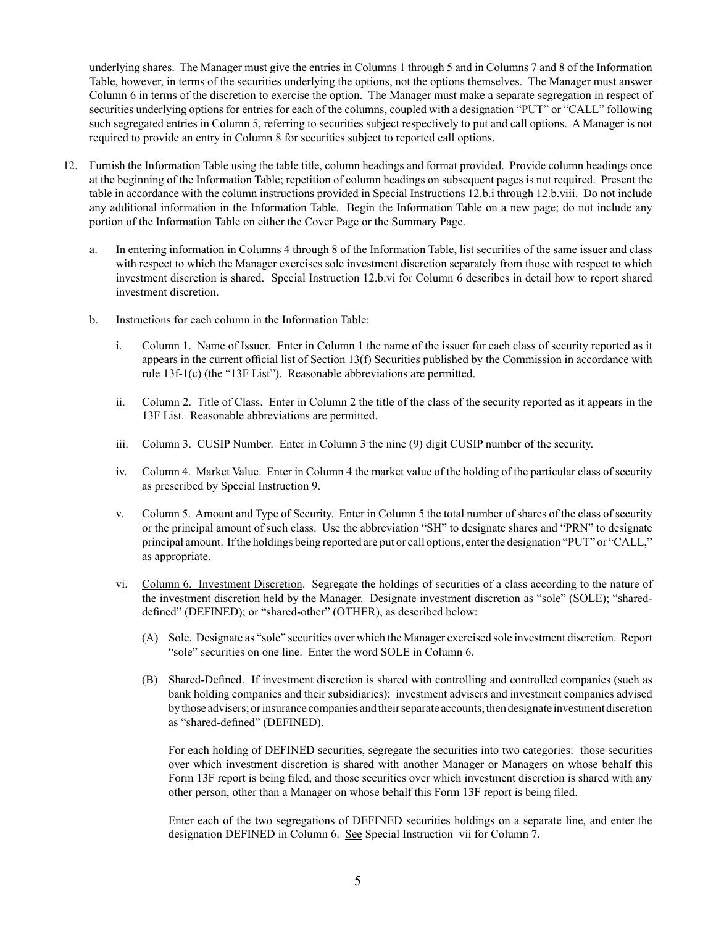such segregated entries in Column 5, referring to securities subject respectively to put and call options. A Manager is not underlying shares. The Manager must give the entries in Columns 1 through 5 and in Columns 7 and 8 of the Information Table, however, in terms of the securities underlying the options, not the options themselves. The Manager must answer Column 6 in terms of the discretion to exercise the option. The Manager must make a separate segregation in respect of securities underlying options for entries for each of the columns, coupled with a designation "PUT" or "CALL" following required to provide an entry in Column 8 for securities subject to reported call options.

- 12. Furnish the Information Table using the table title, column headings and format provided. Provide column headings once at the beginning of the Information Table; repetition of column headings on subsequent pages is not required. Present the table in accordance with the column instructions provided in Special Instructions 12.b.i through 12.b.viii. Do not include any additional information in the Information Table. Begin the Information Table on a new page; do not include any portion of the Information Table on either the Cover Page or the Summary Page.
	- a. In entering information in Columns 4 through 8 of the Information Table, list securities of the same issuer and class with respect to which the Manager exercises sole investment discretion separately from those with respect to which investment discretion is shared. Special Instruction 12.b.vi for Column 6 describes in detail how to report shared investment discretion.
	- $b<sub>1</sub>$ Instructions for each column in the Information Table:
		- Column 1. Name of Issuer. Enter in Column 1 the name of the issuer for each class of security reported as it appears in the current official list of Section 13(f) Securities published by the Commission in accordance with rule 13f-1(c) (the "13F List"). Reasonable abbreviations are permitted.
		- Column 2. Title of Class. Enter in Column 2 the title of the class of the security reported as it appears in the 13F List. Reasonable abbreviations are permitted.
		- Column 3. CUSIP Number. Enter in Column 3 the nine (9) digit CUSIP number of the security.
		- iv. Column 4. Market Value. Enter in Column 4 the market value of the holding of the particular class of security iv. as prescribed by Special Instruction 9.
		- Column 5. Amount and Type of Security. Enter in Column 5 the total number of shares of the class of security or the principal amount of such class. Use the abbreviation "SH" to designate shares and "PRN" to designate principal amount. If the holdings being reported are put or call options, enter the designation "PUT" or "CALL," as appropriate.
		- Column 6. Investment Discretion. Segregate the holdings of securities of a class according to the nature of the investment discretion held by the Manager. Designate investment discretion as "sole" (SOLE); "shareddefined" (DEFINED); or "shared-other" (OTHER), as described below:
			- (A) Sole. Designate as "sole" securities over which the Manager exercised sole investment discretion. Report "sole" securities on one line. Enter the word SOLE in Column 6.
			- (B) Shared-Defined. If investment discretion is shared with controlling and controlled companies (such as bank holding companies and their subsidiaries); investment advisers and investment companies advised by those advisers; or insurance companies and their separate accounts, then designate investment discretion as "shared-defined" (DEFINED).

For each holding of DEFINED securities, segregate the securities into two categories: those securities over which investment discretion is shared with another Manager or Managers on whose behalf this Form 13F report is being filed, and those securities over which investment discretion is shared with any other person, other than a Manager on whose behalf this Form 13F report is being filed.

Enter each of the two segregations of DEFINED securities holdings on a separate line, and enter the designation DEFINED in Column 6. See Special Instruction vii for Column 7.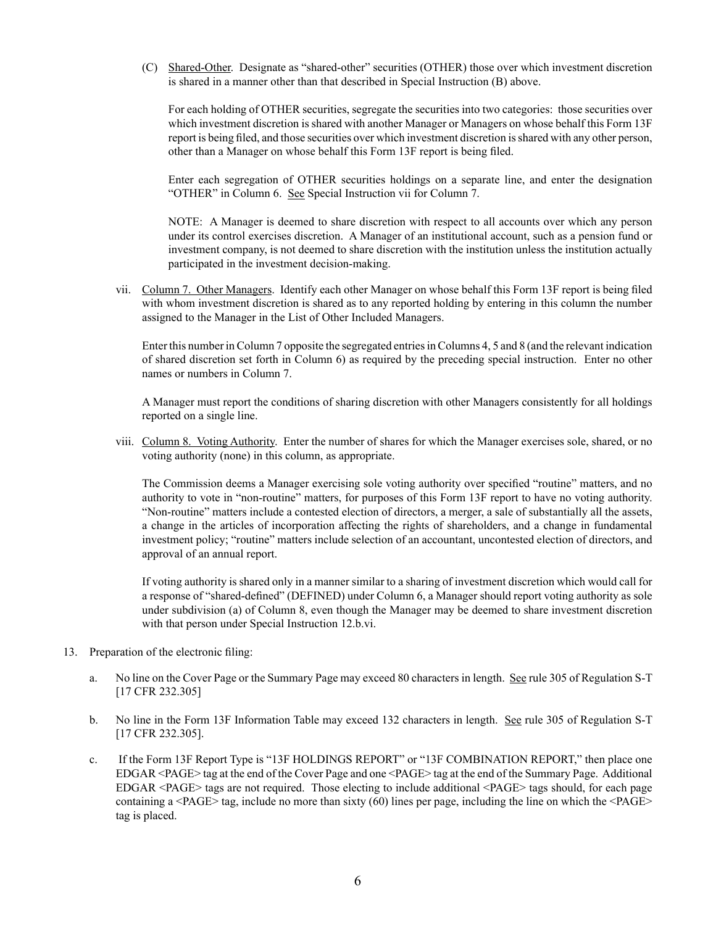(C) Shared-Other. Designate as "shared-other" securities (OTHER) those over which investment discretion is shared in a manner other than that described in Special Instruction (B) above.

For each holding of OTHER securities, segregate the securities into two categories: those securities over which investment discretion is shared with another Manager or Managers on whose behalf this Form 13F report is being filed, and those securities over which investment discretion is shared with any other person, other than a Manager on whose behalf this Form 13F report is being filed.

Enter each segregation of OTHER securities holdings on a separate line, and enter the designation "OTHER" in Column 6. See Special Instruction vii for Column 7.

 NOTE: A Manager is deemed to share discretion with respect to all accounts over which any person under its control exercises discretion. A Manager of an institutional account, such as a pension fund or investment company, is not deemed to share discretion with the institution unless the institution actually participated in the investment decision-making.

vii. Column 7. Other Managers. Identify each other Manager on whose behalf this Form 13F report is being filed with whom investment discretion is shared as to any reported holding by entering in this column the number assigned to the Manager in the List of Other Included Managers.

Enter this number in Column 7 opposite the segregated entries in Columns 4, 5 and 8 (and the relevant indication of shared discretion set forth in Column 6) as required by the preceding special instruction. Enter no other names or numbers in Column 7.

A Manager must report the conditions of sharing discretion with other Managers consistently for all holdings reported on a single line.

viii. Column 8. Voting Authority. Enter the number of shares for which the Manager exercises sole, shared, or no voting authority (none) in this column, as appropriate.

The Commission deems a Manager exercising sole voting authority over specified "routine" matters, and no authority to vote in "non-routine" matters, for purposes of this Form 13F report to have no voting authority. "Non-routine" matters include a contested election of directors, a merger, a sale of substantially all the assets, a change in the articles of incorporation affecting the rights of shareholders, and a change in fundamental investment policy; "routine" matters include selection of an accountant, uncontested election of directors, and approval of an annual report.

If voting authority is shared only in a manner similar to a sharing of investment discretion which would call for a response of "shared-defined" (DEFINED) under Column 6, a Manager should report voting authority as sole under subdivision (a) of Column 8, even though the Manager may be deemed to share investment discretion with that person under Special Instruction 12.b.vi.

- 13. Preparation of the electronic filing:
	- a. No line on the Cover Page or the Summary Page may exceed 80 characters in length. See rule 305 of Regulation S-T [17 CFR 232.305]
	- b. No line in the Form 13F Information Table may exceed 132 characters in length. See rule 305 of Regulation S-T [17 CFR 232.305].
	- $c_{\cdot}$ If the Form 13F Report Type is "13F HOLDINGS REPORT" or "13F COMBINATION REPORT," then place one EDGAR <PAGE> tag at the end of the Cover Page and one <PAGE> tag at the end of the Summary Page. Additional EDGAR <PAGE> tags are not required. Those electing to include additional <PAGE> tags should, for each page containing a <PAGE> tag, include no more than sixty (60) lines per page, including the line on which the <PAGE> tag is placed.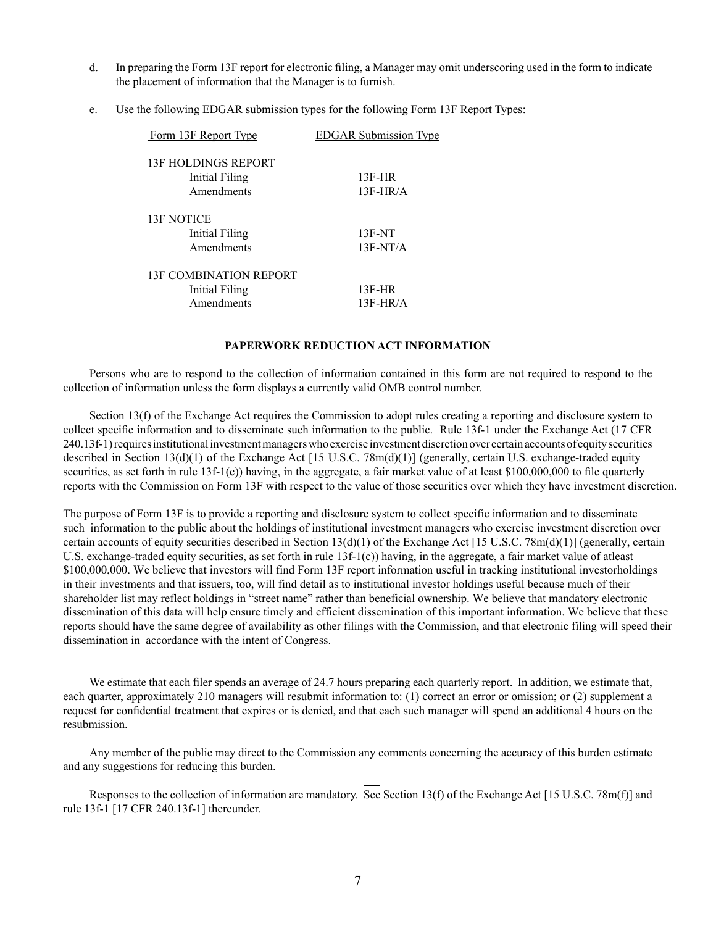- d. In preparing the Form 13F report for electronic filing, a Manager may omit underscoring used in the form to indicate the placement of information that the Manager is to furnish.
- e. Use the following EDGAR submission types for the following Form 13F Report Types:

| Form 13F Report Type       | <b>EDGAR Submission Type</b> |
|----------------------------|------------------------------|
| <b>13F HOLDINGS REPORT</b> |                              |
| Initial Filing             | 13F-HR                       |
| Amendments                 | $13F-HR/A$                   |
| 13F NOTICE                 |                              |
| Initial Filing             | 13F-NT                       |
| Amendments                 | $13F-NT/A$                   |
| 13F COMBINATION REPORT     |                              |
| Initial Filing             | 13F-HR                       |
| Amendments                 | $13F-HR/A$                   |

#### **PAPERWORK REDUCTION ACT INFORMATION**

Persons who are to respond to the collection of information contained in this form are not required to respond to the collection of information unless the form displays a currently valid OMB control number.

240.13f-1) requires institutional investment managers who exercise investment discretion over certain accounts of equity securities Section 13(f) of the Exchange Act requires the Commission to adopt rules creating a reporting and disclosure system to collect specific information and to disseminate such information to the public. Rule 13f-1 under the Exchange Act (17 CFR described in Section 13(d)(1) of the Exchange Act [15 U.S.C. 78m(d)(1)] (generally, certain U.S. exchange-traded equity securities, as set forth in rule 13f-1(c)) having, in the aggregate, a fair market value of at least \$100,000,000 to file quarterly reports with the Commission on Form 13F with respect to the value of those securities over which they have investment discretion.

 reports should have the same degree of availability as other filings with the Commission, and that electronic filing will speed their The purpose of Form 13F is to provide a reporting and disclosure system to collect specific information and to disseminate such information to the public about the holdings of institutional investment managers who exercise investment discretion over certain accounts of equity securities described in Section  $13(d)(1)$  of the Exchange Act [15 U.S.C. 78m(d)(1)] (generally, certain U.S. exchange-traded equity securities, as set forth in rule 13f-1(c)) having, in the aggregate, a fair market value of atleast \$100,000,000. We believe that investors will find Form 13F report information useful in tracking institutional investorholdings in their investments and that issuers, too, will find detail as to institutional investor holdings useful because much of their shareholder list may reflect holdings in "street name" rather than beneficial ownership. We believe that mandatory electronic dissemination of this data will help ensure timely and efficient dissemination of this important information. We believe that these dissemination in accordance with the intent of Congress.

We estimate that each filer spends an average of 24.7 hours preparing each quarterly report. In addition, we estimate that, each quarter, approximately 210 managers will resubmit information to: (1) correct an error or omission; or (2) supplement a request for confidential treatment that expires or is denied, and that each such manager will spend an additional 4 hours on the resubmission.

Any member of the public may direct to the Commission any comments concerning the accuracy of this burden estimate and any suggestions for reducing this burden.

Responses to the collection of information are mandatory. See Section 13(f) of the Exchange Act [15 U.S.C. 78m(f)] and rule 13f-1 [17 CFR 240.13f-1] thereunder.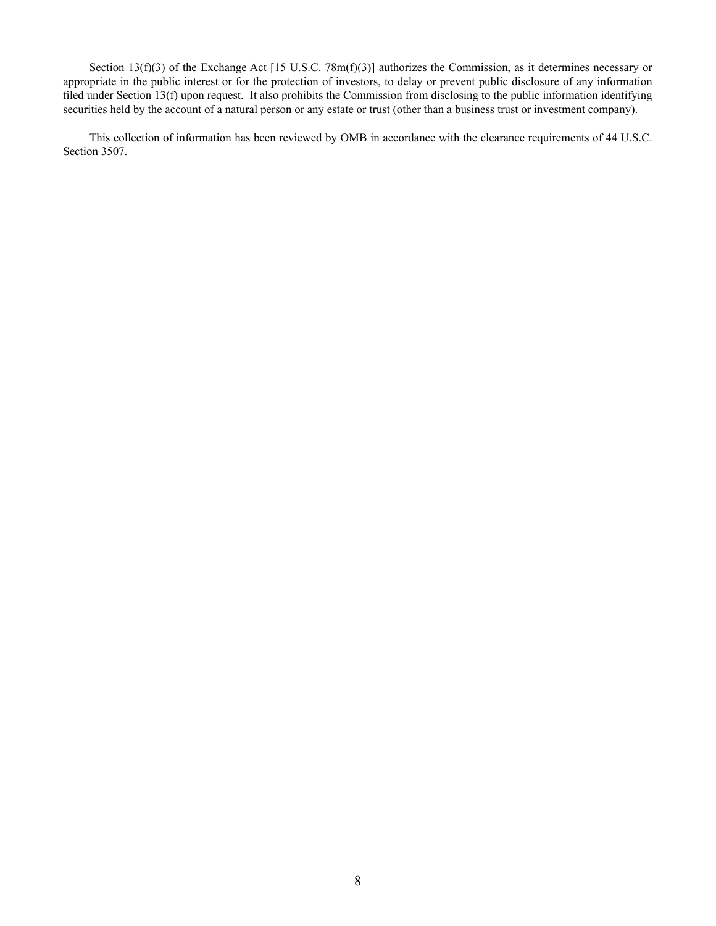Section 13(f)(3) of the Exchange Act [15 U.S.C. 78m(f)(3)] authorizes the Commission, as it determines necessary or appropriate in the public interest or for the protection of investors, to delay or prevent public disclosure of any information filed under Section 13(f) upon request. It also prohibits the Commission from disclosing to the public information identifying securities held by the account of a natural person or any estate or trust (other than a business trust or investment company).

This collection of information has been reviewed by OMB in accordance with the clearance requirements of 44 U.S.C. Section 3507.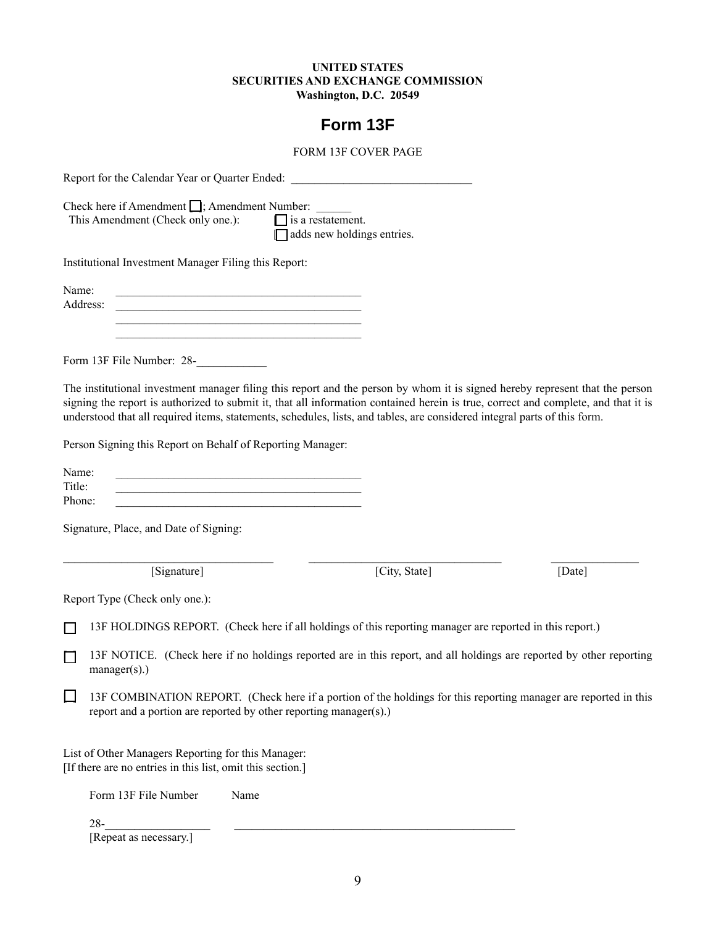### **UNITED STATES SECURITIES AND EXCHANGE COMMISSION Washington, D.C. 20549**

# **Form 13F**

FORM 13F COVER PAGE

|                                                                                                                  | Report for the Calendar Year or Quarter Ended: __________________________________                                                                                                                                                                                                                                                                                                               |        |
|------------------------------------------------------------------------------------------------------------------|-------------------------------------------------------------------------------------------------------------------------------------------------------------------------------------------------------------------------------------------------------------------------------------------------------------------------------------------------------------------------------------------------|--------|
| Check here if Amendment $\Box$ ; Amendment Number:<br>This Amendment (Check only one.):                          | $\Box$ is a restatement.<br>adds new holdings entries.                                                                                                                                                                                                                                                                                                                                          |        |
| Institutional Investment Manager Filing this Report:                                                             |                                                                                                                                                                                                                                                                                                                                                                                                 |        |
| Name:<br>Address:<br>the control of the control of the control of the control of the control of the control of   |                                                                                                                                                                                                                                                                                                                                                                                                 |        |
| Form 13F File Number: 28-                                                                                        |                                                                                                                                                                                                                                                                                                                                                                                                 |        |
|                                                                                                                  | The institutional investment manager filing this report and the person by whom it is signed hereby represent that the person<br>signing the report is authorized to submit it, that all information contained herein is true, correct and complete, and that it is<br>understood that all required items, statements, schedules, lists, and tables, are considered integral parts of this form. |        |
| Person Signing this Report on Behalf of Reporting Manager:                                                       |                                                                                                                                                                                                                                                                                                                                                                                                 |        |
| Name:<br>Title:<br><u> 1989 - Johann John Stone, mars eta biztanleria (h. 1989).</u><br>Phone:                   |                                                                                                                                                                                                                                                                                                                                                                                                 |        |
| Signature, Place, and Date of Signing:                                                                           |                                                                                                                                                                                                                                                                                                                                                                                                 |        |
| [Signature]                                                                                                      | [City, State]                                                                                                                                                                                                                                                                                                                                                                                   | [Date] |
| Report Type (Check only one.):                                                                                   |                                                                                                                                                                                                                                                                                                                                                                                                 |        |
|                                                                                                                  | 13F HOLDINGS REPORT. (Check here if all holdings of this reporting manager are reported in this report.)                                                                                                                                                                                                                                                                                        |        |
| $manager(s)$ .)                                                                                                  | 13F NOTICE. (Check here if no holdings reported are in this report, and all holdings are reported by other reporting                                                                                                                                                                                                                                                                            |        |
| report and a portion are reported by other reporting manager(s).)                                                | 13F COMBINATION REPORT. (Check here if a portion of the holdings for this reporting manager are reported in this                                                                                                                                                                                                                                                                                |        |
| List of Other Managers Reporting for this Manager:<br>[If there are no entries in this list, omit this section.] |                                                                                                                                                                                                                                                                                                                                                                                                 |        |
| Form 13F File Number<br>Name                                                                                     |                                                                                                                                                                                                                                                                                                                                                                                                 |        |
| $28 -$                                                                                                           |                                                                                                                                                                                                                                                                                                                                                                                                 |        |

[Repeat as necessary.]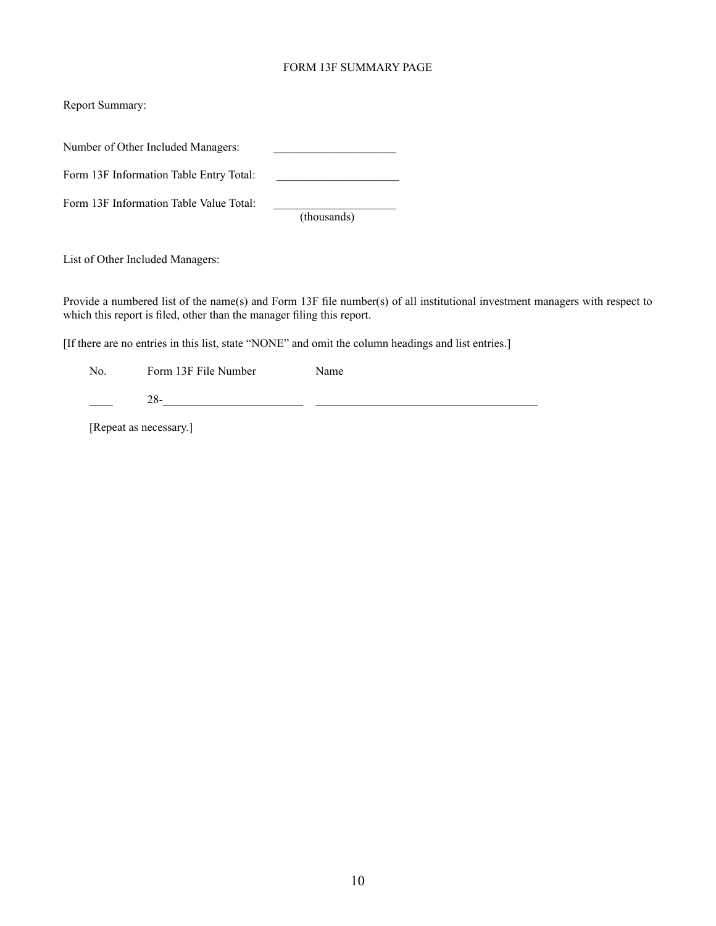# FORM 13F SUMMARY PAGE

Report Summary:

\_\_\_\_\_\_\_\_\_\_\_\_\_\_\_\_\_\_\_\_\_ Number of Other Included Managers:

Form 13F Information Table Entry Total: \_\_\_\_\_\_\_\_\_\_\_\_\_\_\_\_\_\_\_\_\_

Form 13F Information Table Value Total:

 $\overline{\phantom{a}}$  , and the set of the set of the set of the set of the set of the set of the set of the set of the set of the set of the set of the set of the set of the set of the set of the set of the set of the set of the s (thousands)

List of Other Included Managers:

Provide a numbered list of the name(s) and Form 13F file number(s) of all institutional investment managers with respect to which this report is filed, other than the manager filing this report.

[If there are no entries in this list, state "NONE" and omit the column headings and list entries.]

No. Form 13F File Number Name

 $28$ - $\frac{1}{28}$ 

[Repeat as necessary.]